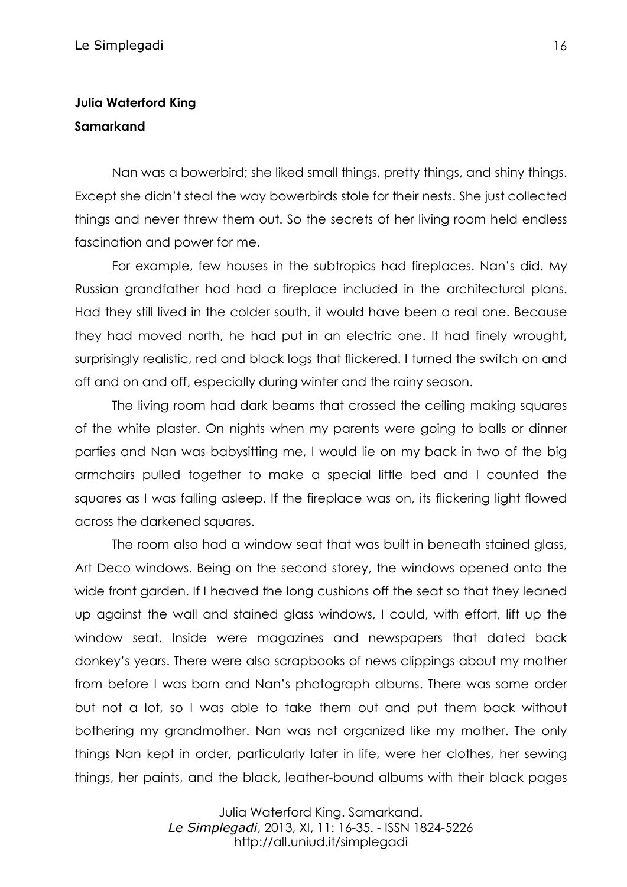## **Julia Waterford King Samarkand**

Nan was a bowerbird; she liked small things, pretty things, and shiny things. Except she didn't steal the way bowerbirds stole for their nests. She just collected things and never threw them out. So the secrets of her living room held endless fascination and power for me.

For example, few houses in the subtropics had fireplaces. Nan's did. My Russian grandfather had had a fireplace included in the architectural plans. Had they still lived in the colder south, it would have been a real one. Because they had moved north, he had put in an electric one. It had finely wrought, surprisingly realistic, red and black logs that flickered. I turned the switch on and off and on and off, especially during winter and the rainy season.

The living room had dark beams that crossed the ceiling making squares of the white plaster. On nights when my parents were going to balls or dinner parties and Nan was babysitting me, I would lie on my back in two of the big armchairs pulled together to make a special little bed and I counted the squares as I was falling asleep. If the fireplace was on, its flickering light flowed across the darkened squares.

The room also had a window seat that was built in beneath stained glass, Art Deco windows. Being on the second storey, the windows opened onto the wide front garden. If I heaved the long cushions off the seat so that they leaned up against the wall and stained glass windows, I could, with effort, lift up the window seat. Inside were magazines and newspapers that dated back donkey's years. There were also scrapbooks of news clippings about my mother from before I was born and Nan's photograph albums. There was some order but not a lot, so I was able to take them out and put them back without bothering my grandmother. Nan was not organized like my mother. The only things Nan kept in order, particularly later in life, were her clothes, her sewing things, her paints, and the black, leather-bound albums with their black pages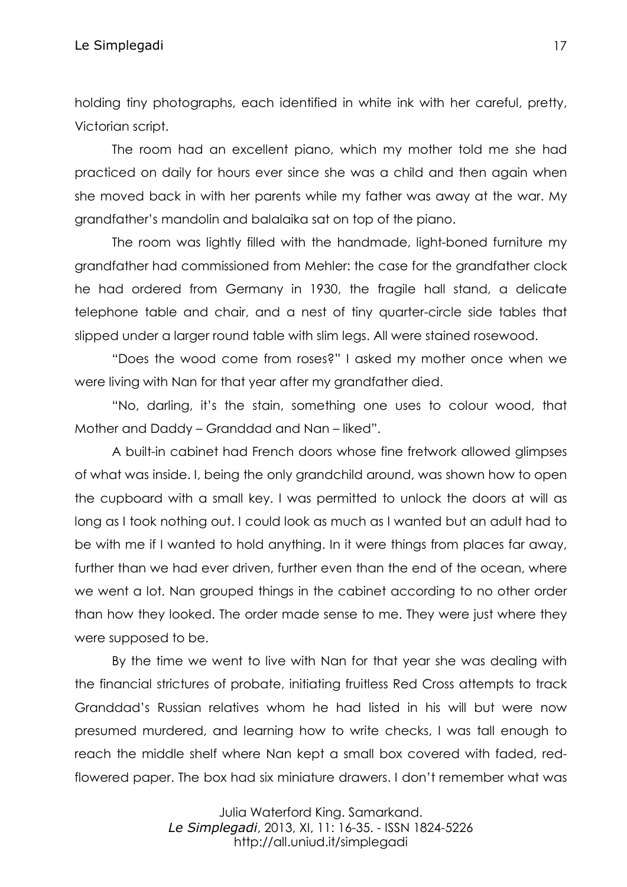holding tiny photographs, each identified in white ink with her careful, pretty, Victorian script.

The room had an excellent piano, which my mother told me she had practiced on daily for hours ever since she was a child and then again when she moved back in with her parents while my father was away at the war. My grandfather's mandolin and balalaika sat on top of the piano.

The room was lightly filled with the handmade, light-boned furniture my grandfather had commissioned from Mehler: the case for the grandfather clock he had ordered from Germany in 1930, the fragile hall stand, a delicate telephone table and chair, and a nest of tiny quarter-circle side tables that slipped under a larger round table with slim legs. All were stained rosewood.

"Does the wood come from roses?" I asked my mother once when we were living with Nan for that year after my grandfather died.

"No, darling, it's the stain, something one uses to colour wood, that Mother and Daddy – Granddad and Nan – liked".

A built-in cabinet had French doors whose fine fretwork allowed glimpses of what was inside. I, being the only grandchild around, was shown how to open the cupboard with a small key. I was permitted to unlock the doors at will as long as I took nothing out. I could look as much as I wanted but an adult had to be with me if I wanted to hold anything. In it were things from places far away, further than we had ever driven, further even than the end of the ocean, where we went a lot. Nan grouped things in the cabinet according to no other order than how they looked. The order made sense to me. They were just where they were supposed to be.

By the time we went to live with Nan for that year she was dealing with the financial strictures of probate, initiating fruitless Red Cross attempts to track Granddad's Russian relatives whom he had listed in his will but were now presumed murdered, and learning how to write checks, I was tall enough to reach the middle shelf where Nan kept a small box covered with faded, redflowered paper. The box had six miniature drawers. I don't remember what was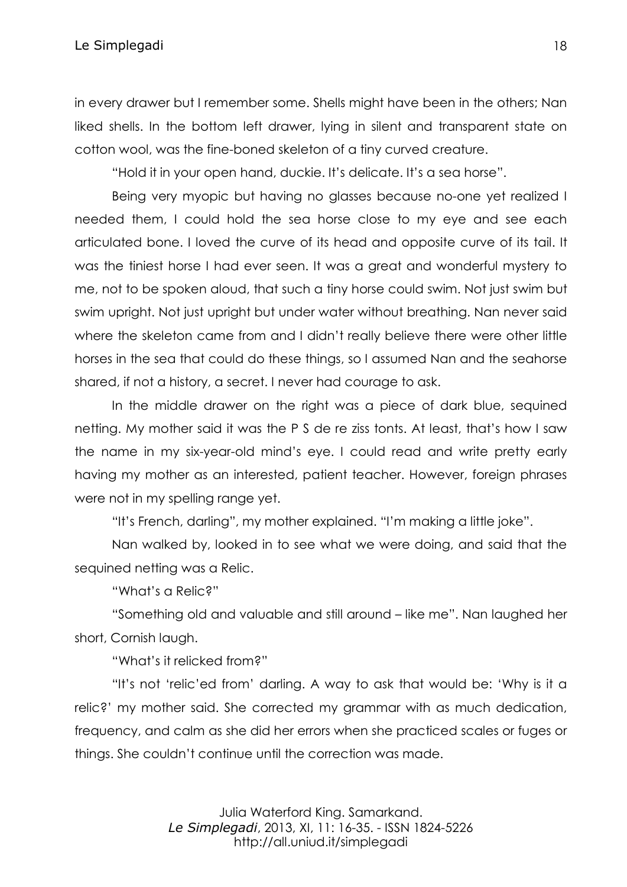in every drawer but I remember some. Shells might have been in the others; Nan liked shells. In the bottom left drawer, lying in silent and transparent state on cotton wool, was the fine-boned skeleton of a tiny curved creature.

"Hold it in your open hand, duckie. It's delicate. It's a sea horse".

Being very myopic but having no glasses because no-one yet realized I needed them, I could hold the sea horse close to my eye and see each articulated bone. I loved the curve of its head and opposite curve of its tail. It was the tiniest horse I had ever seen. It was a great and wonderful mystery to me, not to be spoken aloud, that such a tiny horse could swim. Not just swim but swim upright. Not just upright but under water without breathing. Nan never said where the skeleton came from and I didn't really believe there were other little horses in the sea that could do these things, so I assumed Nan and the seahorse shared, if not a history, a secret. I never had courage to ask.

In the middle drawer on the right was a piece of dark blue, sequined netting. My mother said it was the P S de re ziss tonts. At least, that's how I saw the name in my six-year-old mind's eye. I could read and write pretty early having my mother as an interested, patient teacher. However, foreign phrases were not in my spelling range yet.

"It's French, darling", my mother explained. "I'm making a little joke".

Nan walked by, looked in to see what we were doing, and said that the sequined netting was a Relic.

"What's a Relic?"

"Something old and valuable and still around – like me". Nan laughed her short, Cornish laugh.

"What's it relicked from?"

"It's not 'relic'ed from' darling. A way to ask that would be: 'Why is it a relic?' my mother said. She corrected my grammar with as much dedication, frequency, and calm as she did her errors when she practiced scales or fuges or things. She couldn't continue until the correction was made.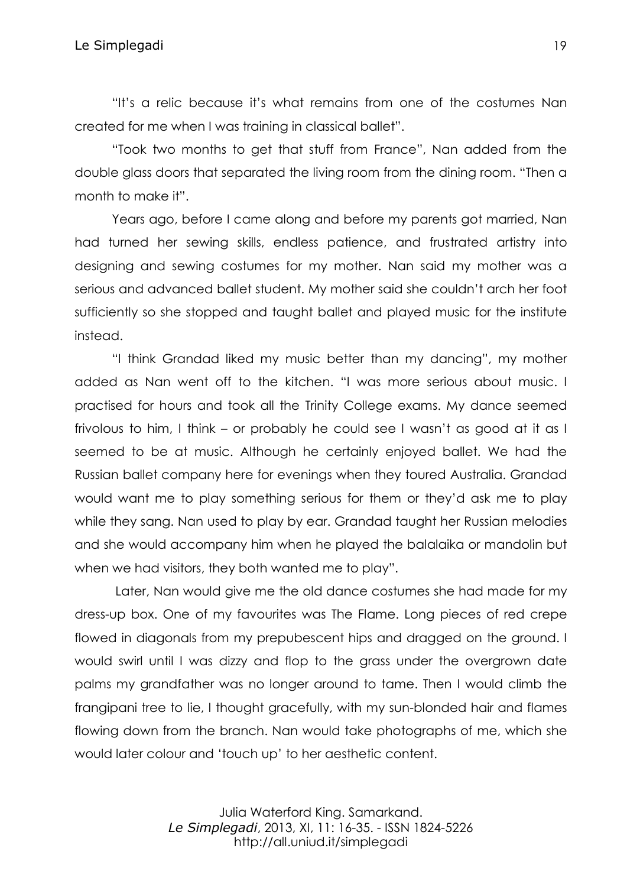"It's a relic because it's what remains from one of the costumes Nan created for me when I was training in classical ballet".

"Took two months to get that stuff from France", Nan added from the double glass doors that separated the living room from the dining room. "Then a month to make it".

Years ago, before I came along and before my parents got married, Nan had turned her sewing skills, endless patience, and frustrated artistry into designing and sewing costumes for my mother. Nan said my mother was a serious and advanced ballet student. My mother said she couldn't arch her foot sufficiently so she stopped and taught ballet and played music for the institute instead.

"I think Grandad liked my music better than my dancing", my mother added as Nan went off to the kitchen. "I was more serious about music. I practised for hours and took all the Trinity College exams. My dance seemed frivolous to him, I think – or probably he could see I wasn't as good at it as I seemed to be at music. Although he certainly enjoyed ballet. We had the Russian ballet company here for evenings when they toured Australia. Grandad would want me to play something serious for them or they'd ask me to play while they sang. Nan used to play by ear. Grandad taught her Russian melodies and she would accompany him when he played the balalaika or mandolin but when we had visitors, they both wanted me to play".

Later, Nan would give me the old dance costumes she had made for my dress-up box. One of my favourites was The Flame. Long pieces of red crepe flowed in diagonals from my prepubescent hips and dragged on the ground. I would swirl until I was dizzy and flop to the grass under the overgrown date palms my grandfather was no longer around to tame. Then I would climb the frangipani tree to lie, I thought gracefully, with my sun-blonded hair and flames flowing down from the branch. Nan would take photographs of me, which she would later colour and 'touch up' to her aesthetic content.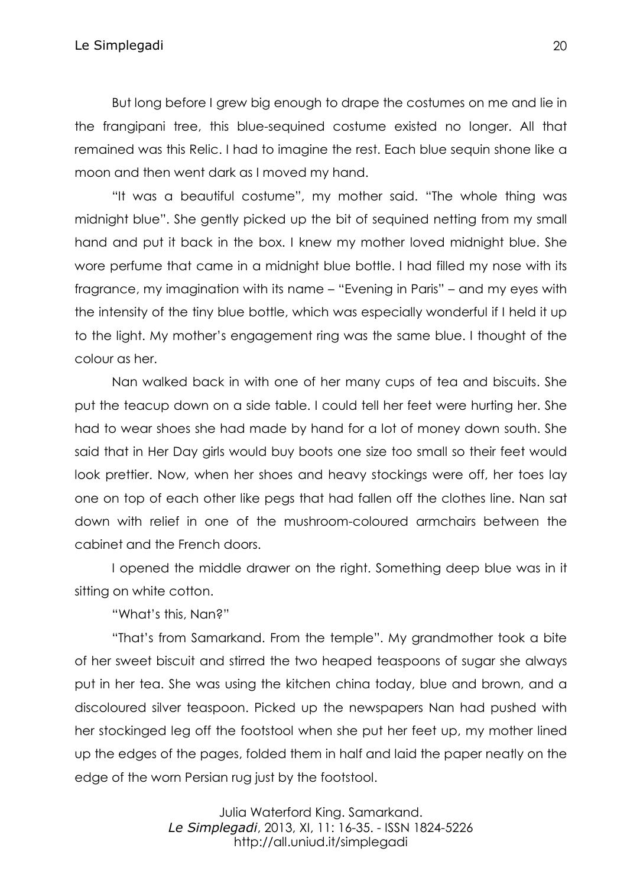But long before I grew big enough to drape the costumes on me and lie in the frangipani tree, this blue-sequined costume existed no longer. All that remained was this Relic. I had to imagine the rest. Each blue sequin shone like a moon and then went dark as I moved my hand.

"It was a beautiful costume", my mother said. "The whole thing was midnight blue". She gently picked up the bit of sequined netting from my small hand and put it back in the box. I knew my mother loved midnight blue. She wore perfume that came in a midnight blue bottle. I had filled my nose with its fragrance, my imagination with its name – "Evening in Paris" – and my eyes with the intensity of the tiny blue bottle, which was especially wonderful if I held it up to the light. My mother's engagement ring was the same blue. I thought of the colour as her.

Nan walked back in with one of her many cups of tea and biscuits. She put the teacup down on a side table. I could tell her feet were hurting her. She had to wear shoes she had made by hand for a lot of money down south. She said that in Her Day girls would buy boots one size too small so their feet would look prettier. Now, when her shoes and heavy stockings were off, her toes lay one on top of each other like pegs that had fallen off the clothes line. Nan sat down with relief in one of the mushroom-coloured armchairs between the cabinet and the French doors.

I opened the middle drawer on the right. Something deep blue was in it sitting on white cotton.

"What's this, Nan?"

"That's from Samarkand. From the temple". My grandmother took a bite of her sweet biscuit and stirred the two heaped teaspoons of sugar she always put in her tea. She was using the kitchen china today, blue and brown, and a discoloured silver teaspoon. Picked up the newspapers Nan had pushed with her stockinged leg off the footstool when she put her feet up, my mother lined up the edges of the pages, folded them in half and laid the paper neatly on the edge of the worn Persian rug just by the footstool.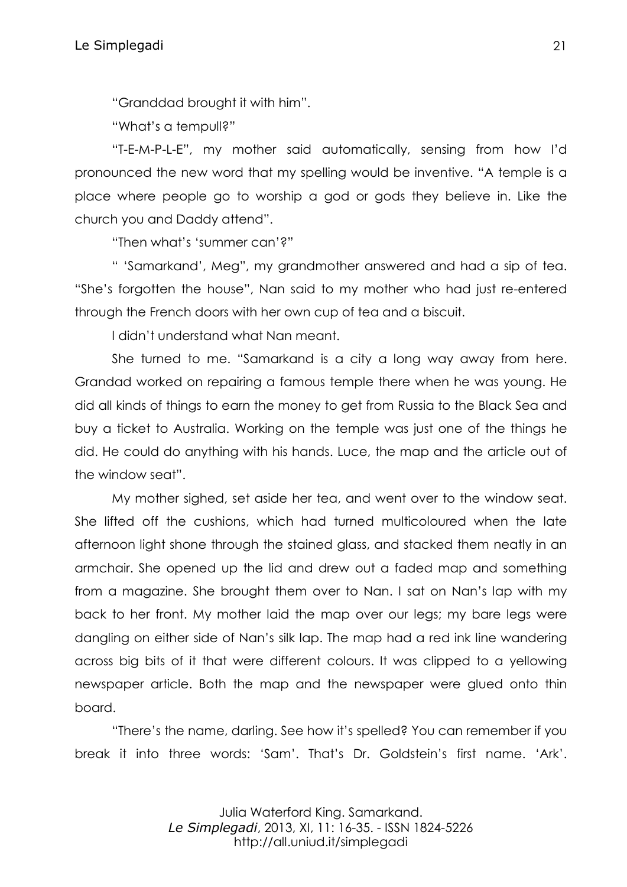"Granddad brought it with him".

"What's a tempull?"

"T-E-M-P-L-E", my mother said automatically, sensing from how I'd pronounced the new word that my spelling would be inventive. "A temple is a place where people go to worship a god or gods they believe in. Like the church you and Daddy attend".

"Then what's 'summer can'?"

" 'Samarkand', Meg", my grandmother answered and had a sip of tea. "She's forgotten the house", Nan said to my mother who had just re-entered through the French doors with her own cup of tea and a biscuit.

I didn't understand what Nan meant.

She turned to me. "Samarkand is a city a long way away from here. Grandad worked on repairing a famous temple there when he was young. He did all kinds of things to earn the money to get from Russia to the Black Sea and buy a ticket to Australia. Working on the temple was just one of the things he did. He could do anything with his hands. Luce, the map and the article out of the window seat".

My mother sighed, set aside her tea, and went over to the window seat. She lifted off the cushions, which had turned multicoloured when the late afternoon light shone through the stained glass, and stacked them neatly in an armchair. She opened up the lid and drew out a faded map and something from a magazine. She brought them over to Nan. I sat on Nan's lap with my back to her front. My mother laid the map over our legs; my bare legs were dangling on either side of Nan's silk lap. The map had a red ink line wandering across big bits of it that were different colours. It was clipped to a yellowing newspaper article. Both the map and the newspaper were glued onto thin board.

"There's the name, darling. See how it's spelled? You can remember if you break it into three words: 'Sam'. That's Dr. Goldstein's first name. 'Ark'.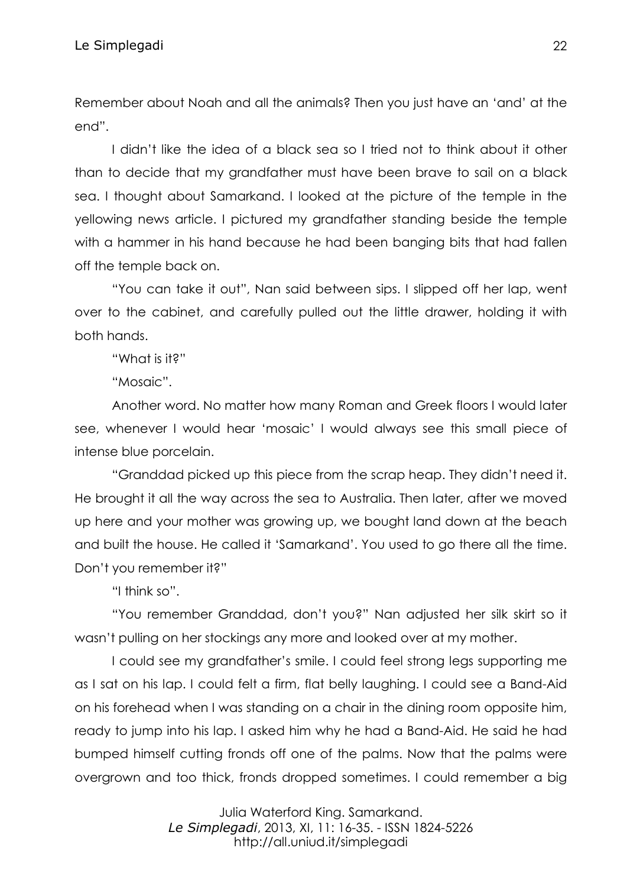Remember about Noah and all the animals? Then you just have an 'and' at the end".

I didn't like the idea of a black sea so I tried not to think about it other than to decide that my grandfather must have been brave to sail on a black sea. I thought about Samarkand. I looked at the picture of the temple in the yellowing news article. I pictured my grandfather standing beside the temple with a hammer in his hand because he had been banging bits that had fallen off the temple back on.

"You can take it out", Nan said between sips. I slipped off her lap, went over to the cabinet, and carefully pulled out the little drawer, holding it with both hands.

"What is it?"

"Mosaic".

Another word. No matter how many Roman and Greek floors I would later see, whenever I would hear 'mosaic' I would always see this small piece of intense blue porcelain.

"Granddad picked up this piece from the scrap heap. They didn't need it. He brought it all the way across the sea to Australia. Then later, after we moved up here and your mother was growing up, we bought land down at the beach and built the house. He called it 'Samarkand'. You used to go there all the time. Don't you remember it?"

"I think so".

"You remember Granddad, don't you?" Nan adjusted her silk skirt so it wasn't pulling on her stockings any more and looked over at my mother.

I could see my grandfather's smile. I could feel strong legs supporting me as I sat on his lap. I could felt a firm, flat belly laughing. I could see a Band-Aid on his forehead when I was standing on a chair in the dining room opposite him, ready to jump into his lap. I asked him why he had a Band-Aid. He said he had bumped himself cutting fronds off one of the palms. Now that the palms were overgrown and too thick, fronds dropped sometimes. I could remember a big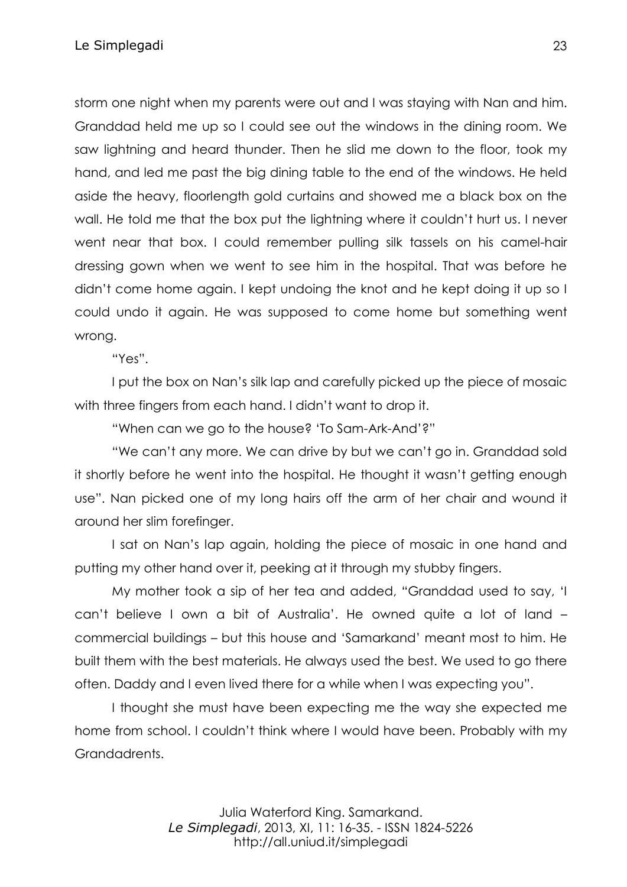storm one night when my parents were out and I was staying with Nan and him. Granddad held me up so I could see out the windows in the dining room. We saw lightning and heard thunder. Then he slid me down to the floor, took my hand, and led me past the big dining table to the end of the windows. He held aside the heavy, floorlength gold curtains and showed me a black box on the wall. He told me that the box put the lightning where it couldn't hurt us. I never went near that box. I could remember pulling silk tassels on his camel-hair dressing gown when we went to see him in the hospital. That was before he didn't come home again. I kept undoing the knot and he kept doing it up so I could undo it again. He was supposed to come home but something went wrong.

"Yes".

I put the box on Nan's silk lap and carefully picked up the piece of mosaic with three fingers from each hand. I didn't want to drop it.

"When can we go to the house? 'To Sam-Ark-And'?"

"We can't any more. We can drive by but we can't go in. Granddad sold it shortly before he went into the hospital. He thought it wasn't getting enough use". Nan picked one of my long hairs off the arm of her chair and wound it around her slim forefinger.

I sat on Nan's lap again, holding the piece of mosaic in one hand and putting my other hand over it, peeking at it through my stubby fingers.

My mother took a sip of her tea and added, "Granddad used to say, 'I can't believe I own a bit of Australia'. He owned quite a lot of land – commercial buildings – but this house and 'Samarkand' meant most to him. He built them with the best materials. He always used the best. We used to go there often. Daddy and I even lived there for a while when I was expecting you".

I thought she must have been expecting me the way she expected me home from school. I couldn't think where I would have been. Probably with my Grandadrents.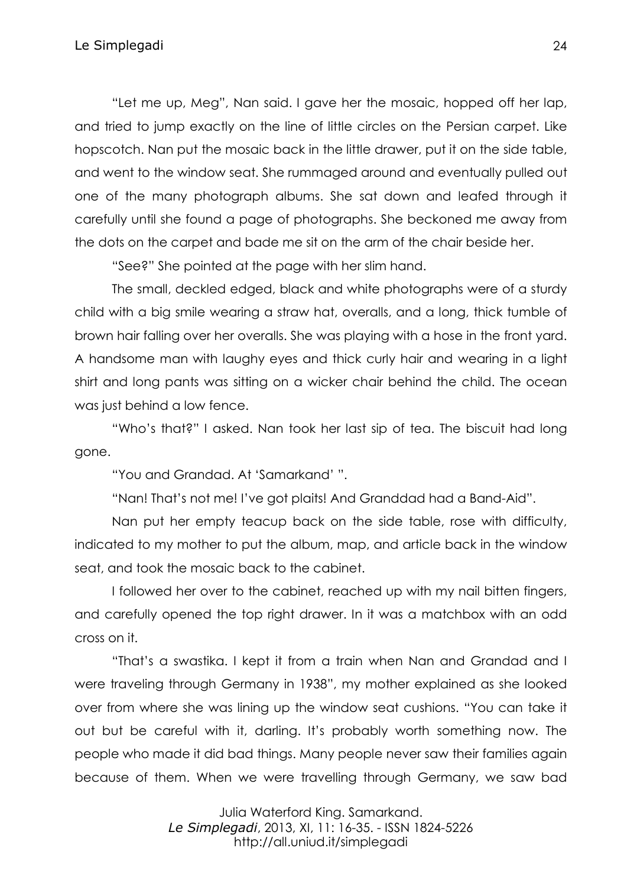"Let me up, Meg", Nan said. I gave her the mosaic, hopped off her lap, and tried to jump exactly on the line of little circles on the Persian carpet. Like hopscotch. Nan put the mosaic back in the little drawer, put it on the side table, and went to the window seat. She rummaged around and eventually pulled out one of the many photograph albums. She sat down and leafed through it carefully until she found a page of photographs. She beckoned me away from the dots on the carpet and bade me sit on the arm of the chair beside her.

"See?" She pointed at the page with her slim hand.

The small, deckled edged, black and white photographs were of a sturdy child with a big smile wearing a straw hat, overalls, and a long, thick tumble of brown hair falling over her overalls. She was playing with a hose in the front yard. A handsome man with laughy eyes and thick curly hair and wearing in a light shirt and long pants was sitting on a wicker chair behind the child. The ocean was just behind a low fence.

"Who's that?" I asked. Nan took her last sip of tea. The biscuit had long gone.

"You and Grandad. At 'Samarkand' ".

"Nan! That's not me! I've got plaits! And Granddad had a Band-Aid".

Nan put her empty teacup back on the side table, rose with difficulty, indicated to my mother to put the album, map, and article back in the window seat, and took the mosaic back to the cabinet.

I followed her over to the cabinet, reached up with my nail bitten fingers, and carefully opened the top right drawer. In it was a matchbox with an odd cross on it.

"That's a swastika. I kept it from a train when Nan and Grandad and I were traveling through Germany in 1938", my mother explained as she looked over from where she was lining up the window seat cushions. "You can take it out but be careful with it, darling. It's probably worth something now. The people who made it did bad things. Many people never saw their families again because of them. When we were travelling through Germany, we saw bad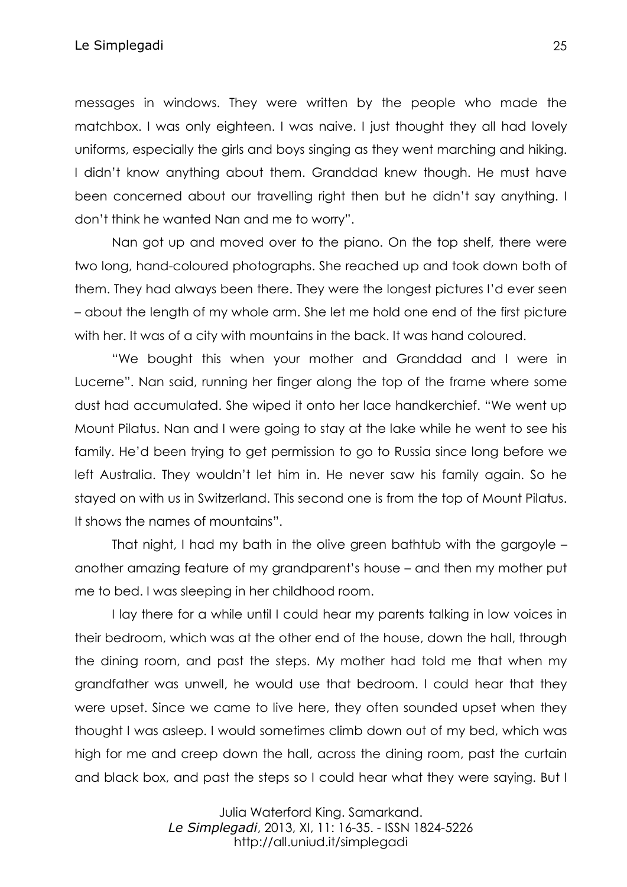messages in windows. They were written by the people who made the matchbox. I was only eighteen. I was naive. I just thought they all had lovely uniforms, especially the girls and boys singing as they went marching and hiking. I didn't know anything about them. Granddad knew though. He must have been concerned about our travelling right then but he didn't say anything. I don't think he wanted Nan and me to worry".

Nan got up and moved over to the piano. On the top shelf, there were two long, hand-coloured photographs. She reached up and took down both of them. They had always been there. They were the longest pictures I'd ever seen – about the length of my whole arm. She let me hold one end of the first picture with her. It was of a city with mountains in the back. It was hand coloured.

"We bought this when your mother and Granddad and I were in Lucerne". Nan said, running her finger along the top of the frame where some dust had accumulated. She wiped it onto her lace handkerchief. "We went up Mount Pilatus. Nan and I were going to stay at the lake while he went to see his family. He'd been trying to get permission to go to Russia since long before we left Australia. They wouldn't let him in. He never saw his family again. So he stayed on with us in Switzerland. This second one is from the top of Mount Pilatus. It shows the names of mountains".

That night, I had my bath in the olive green bathtub with the gargoyle – another amazing feature of my grandparent's house – and then my mother put me to bed. I was sleeping in her childhood room.

I lay there for a while until I could hear my parents talking in low voices in their bedroom, which was at the other end of the house, down the hall, through the dining room, and past the steps. My mother had told me that when my grandfather was unwell, he would use that bedroom. I could hear that they were upset. Since we came to live here, they often sounded upset when they thought I was asleep. I would sometimes climb down out of my bed, which was high for me and creep down the hall, across the dining room, past the curtain and black box, and past the steps so I could hear what they were saying. But I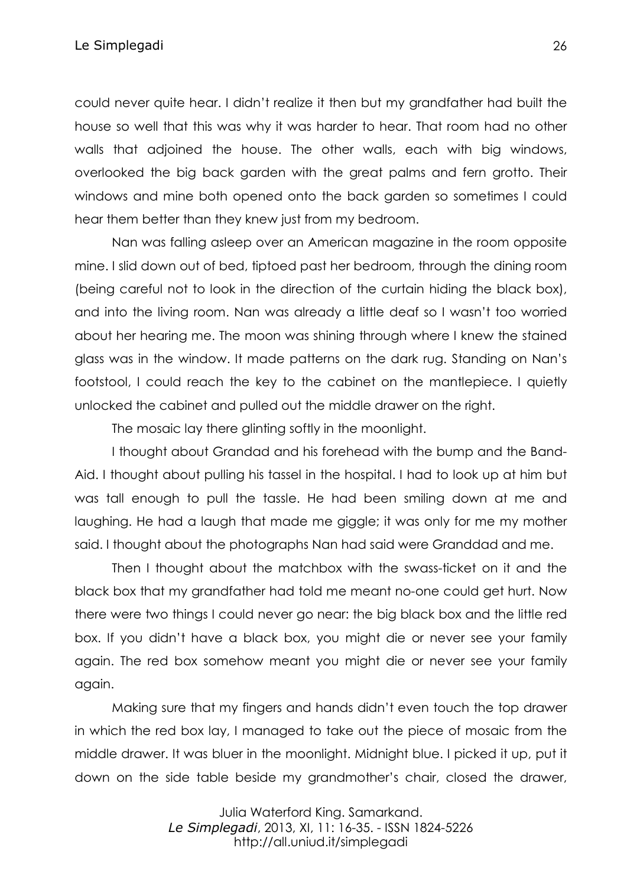could never quite hear. I didn't realize it then but my grandfather had built the house so well that this was why it was harder to hear. That room had no other walls that adjoined the house. The other walls, each with big windows, overlooked the big back garden with the great palms and fern grotto. Their windows and mine both opened onto the back garden so sometimes I could hear them better than they knew just from my bedroom.

Nan was falling asleep over an American magazine in the room opposite mine. I slid down out of bed, tiptoed past her bedroom, through the dining room (being careful not to look in the direction of the curtain hiding the black box), and into the living room. Nan was already a little deaf so I wasn't too worried about her hearing me. The moon was shining through where I knew the stained glass was in the window. It made patterns on the dark rug. Standing on Nan's footstool, I could reach the key to the cabinet on the mantlepiece. I quietly unlocked the cabinet and pulled out the middle drawer on the right.

The mosaic lay there glinting softly in the moonlight.

I thought about Grandad and his forehead with the bump and the Band-Aid. I thought about pulling his tassel in the hospital. I had to look up at him but was tall enough to pull the tassle. He had been smiling down at me and laughing. He had a laugh that made me giggle; it was only for me my mother said. I thought about the photographs Nan had said were Granddad and me.

Then I thought about the matchbox with the swass-ticket on it and the black box that my grandfather had told me meant no-one could get hurt. Now there were two things I could never go near: the big black box and the little red box. If you didn't have a black box, you might die or never see your family again. The red box somehow meant you might die or never see your family again.

Making sure that my fingers and hands didn't even touch the top drawer in which the red box lay, I managed to take out the piece of mosaic from the middle drawer. It was bluer in the moonlight. Midnight blue. I picked it up, put it down on the side table beside my grandmother's chair, closed the drawer,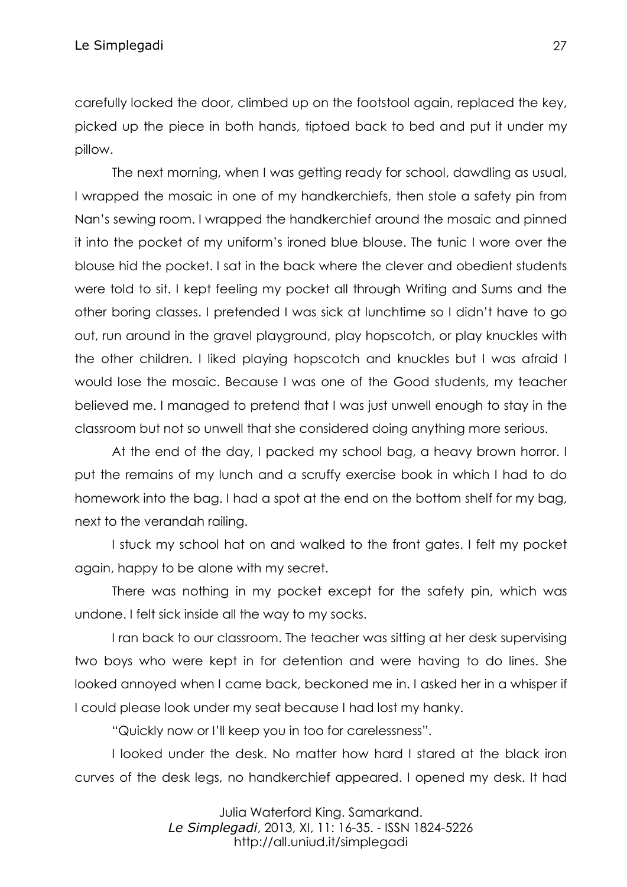carefully locked the door, climbed up on the footstool again, replaced the key, picked up the piece in both hands, tiptoed back to bed and put it under my pillow.

The next morning, when I was getting ready for school, dawdling as usual, I wrapped the mosaic in one of my handkerchiefs, then stole a safety pin from Nan's sewing room. I wrapped the handkerchief around the mosaic and pinned it into the pocket of my uniform's ironed blue blouse. The tunic I wore over the blouse hid the pocket. I sat in the back where the clever and obedient students were told to sit. I kept feeling my pocket all through Writing and Sums and the other boring classes. I pretended I was sick at lunchtime so I didn't have to go out, run around in the gravel playground, play hopscotch, or play knuckles with the other children. I liked playing hopscotch and knuckles but I was afraid I would lose the mosaic. Because I was one of the Good students, my teacher believed me. I managed to pretend that I was just unwell enough to stay in the classroom but not so unwell that she considered doing anything more serious.

At the end of the day, I packed my school bag, a heavy brown horror. I put the remains of my lunch and a scruffy exercise book in which I had to do homework into the bag. I had a spot at the end on the bottom shelf for my bag, next to the verandah railing.

I stuck my school hat on and walked to the front gates. I felt my pocket again, happy to be alone with my secret.

There was nothing in my pocket except for the safety pin, which was undone. I felt sick inside all the way to my socks.

I ran back to our classroom. The teacher was sitting at her desk supervising two boys who were kept in for detention and were having to do lines. She looked annoyed when I came back, beckoned me in. I asked her in a whisper if I could please look under my seat because I had lost my hanky.

"Quickly now or I'll keep you in too for carelessness".

I looked under the desk. No matter how hard I stared at the black iron curves of the desk legs, no handkerchief appeared. I opened my desk. It had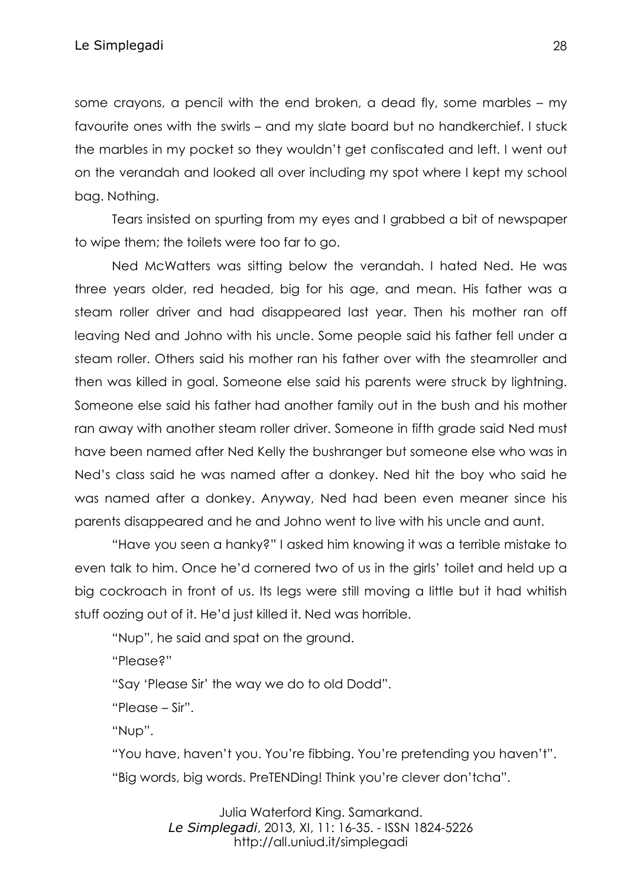some crayons, a pencil with the end broken, a dead fly, some marbles – my favourite ones with the swirls – and my slate board but no handkerchief. I stuck the marbles in my pocket so they wouldn't get confiscated and left. I went out on the verandah and looked all over including my spot where I kept my school bag. Nothing.

Tears insisted on spurting from my eyes and I grabbed a bit of newspaper to wipe them; the toilets were too far to go.

Ned McWatters was sitting below the verandah. I hated Ned. He was three years older, red headed, big for his age, and mean. His father was a steam roller driver and had disappeared last year. Then his mother ran off leaving Ned and Johno with his uncle. Some people said his father fell under a steam roller. Others said his mother ran his father over with the steamroller and then was killed in goal. Someone else said his parents were struck by lightning. Someone else said his father had another family out in the bush and his mother ran away with another steam roller driver. Someone in fifth grade said Ned must have been named after Ned Kelly the bushranger but someone else who was in Ned's class said he was named after a donkey. Ned hit the boy who said he was named after a donkey. Anyway, Ned had been even meaner since his parents disappeared and he and Johno went to live with his uncle and aunt.

"Have you seen a hanky?" I asked him knowing it was a terrible mistake to even talk to him. Once he'd cornered two of us in the girls' toilet and held up a big cockroach in front of us. Its legs were still moving a little but it had whitish stuff oozing out of it. He'd just killed it. Ned was horrible.

"Nup", he said and spat on the ground.

"Please?"

"Say 'Please Sir' the way we do to old Dodd".

"Please – Sir".

"Nup".

"You have, haven't you. You're fibbing. You're pretending you haven't". "Big words, big words. PreTENDing! Think you're clever don'tcha".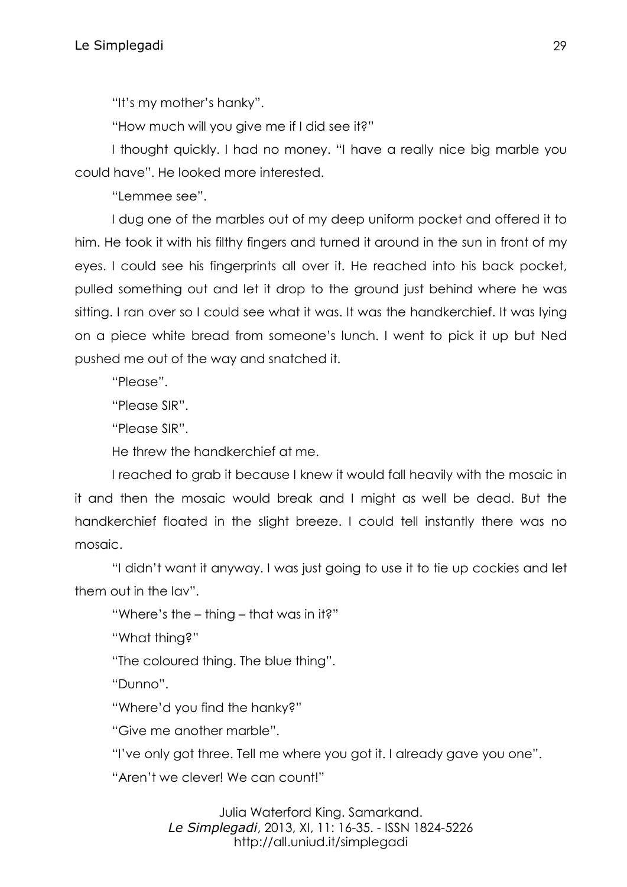"It's my mother's hanky".

"How much will you give me if I did see it?"

I thought quickly. I had no money. "I have a really nice big marble you could have". He looked more interested.

"Lemmee see".

I dug one of the marbles out of my deep uniform pocket and offered it to him. He took it with his filthy fingers and turned it around in the sun in front of my eyes. I could see his fingerprints all over it. He reached into his back pocket, pulled something out and let it drop to the ground just behind where he was sitting. I ran over so I could see what it was. It was the handkerchief. It was lying on a piece white bread from someone's lunch. I went to pick it up but Ned pushed me out of the way and snatched it.

"Please".

"Please SIR".

"Please SIR".

He threw the handkerchief at me.

I reached to grab it because I knew it would fall heavily with the mosaic in it and then the mosaic would break and I might as well be dead. But the handkerchief floated in the slight breeze. I could tell instantly there was no mosaic.

"I didn't want it anyway. I was just going to use it to tie up cockies and let them out in the lav".

"Where's the – thing – that was in it?"

"What thing?"

"The coloured thing. The blue thing".

"Dunno".

"Where'd you find the hanky?"

"Give me another marble".

"I've only got three. Tell me where you got it. I already gave you one".

"Aren't we clever! We can count!"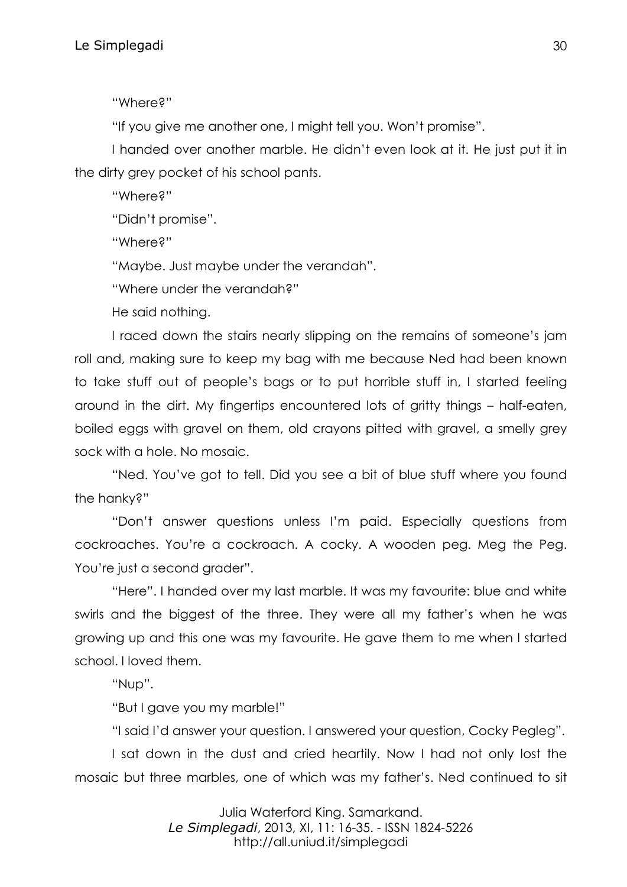"Where?"

"If you give me another one, I might tell you. Won't promise".

I handed over another marble. He didn't even look at it. He just put it in the dirty grey pocket of his school pants.

"Where?"

"Didn't promise".

"Where?"

"Maybe. Just maybe under the verandah".

"Where under the verandah?"

He said nothing.

I raced down the stairs nearly slipping on the remains of someone's jam roll and, making sure to keep my bag with me because Ned had been known to take stuff out of people's bags or to put horrible stuff in, I started feeling around in the dirt. My fingertips encountered lots of gritty things – half-eaten, boiled eggs with gravel on them, old crayons pitted with gravel, a smelly grey sock with a hole. No mosaic.

"Ned. You've got to tell. Did you see a bit of blue stuff where you found the hanky?"

"Don't answer questions unless I'm paid. Especially questions from cockroaches. You're a cockroach. A cocky. A wooden peg. Meg the Peg. You're just a second grader".

"Here". I handed over my last marble. It was my favourite: blue and white swirls and the biggest of the three. They were all my father's when he was growing up and this one was my favourite. He gave them to me when I started school. I loved them.

"Nup".

"But I gave you my marble!"

"I said I'd answer your question. I answered your question, Cocky Pegleg".

I sat down in the dust and cried heartily. Now I had not only lost the mosaic but three marbles, one of which was my father's. Ned continued to sit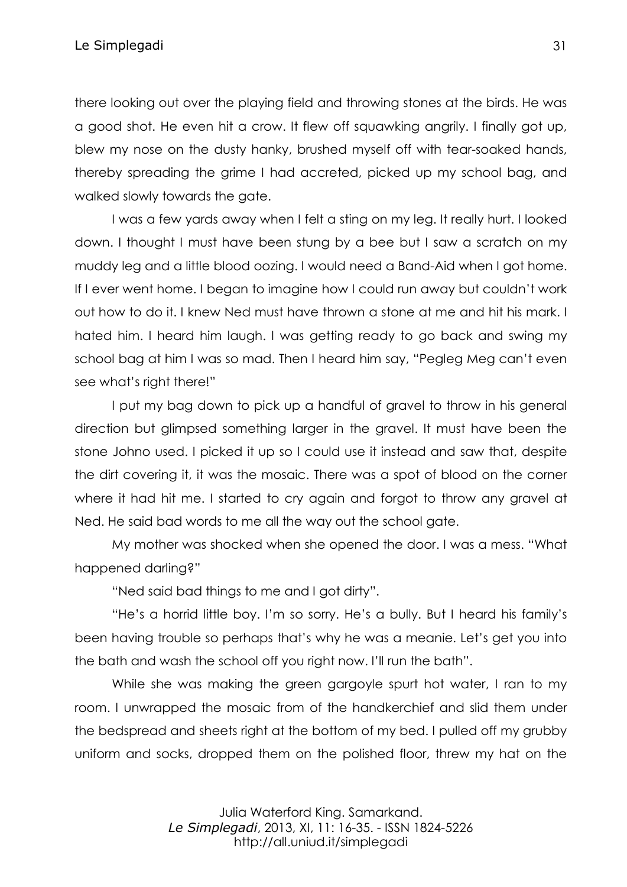Le Simplegadi 31

there looking out over the playing field and throwing stones at the birds. He was a good shot. He even hit a crow. It flew off squawking angrily. I finally got up, blew my nose on the dusty hanky, brushed myself off with tear-soaked hands, thereby spreading the grime I had accreted, picked up my school bag, and walked slowly towards the gate.

I was a few yards away when I felt a sting on my leg. It really hurt. I looked down. I thought I must have been stung by a bee but I saw a scratch on my muddy leg and a little blood oozing. I would need a Band-Aid when I got home. If I ever went home. I began to imagine how I could run away but couldn't work out how to do it. I knew Ned must have thrown a stone at me and hit his mark. I hated him. I heard him laugh. I was getting ready to go back and swing my school bag at him I was so mad. Then I heard him say, "Pegleg Meg can't even see what's right there!"

I put my bag down to pick up a handful of gravel to throw in his general direction but glimpsed something larger in the gravel. It must have been the stone Johno used. I picked it up so I could use it instead and saw that, despite the dirt covering it, it was the mosaic. There was a spot of blood on the corner where it had hit me. I started to cry again and forgot to throw any gravel at Ned. He said bad words to me all the way out the school gate.

My mother was shocked when she opened the door. I was a mess. "What happened darling?"

"Ned said bad things to me and I got dirty".

"He's a horrid little boy. I'm so sorry. He's a bully. But I heard his family's been having trouble so perhaps that's why he was a meanie. Let's get you into the bath and wash the school off you right now. I'll run the bath".

While she was making the green gargoyle spurt hot water, I ran to my room. I unwrapped the mosaic from of the handkerchief and slid them under the bedspread and sheets right at the bottom of my bed. I pulled off my grubby uniform and socks, dropped them on the polished floor, threw my hat on the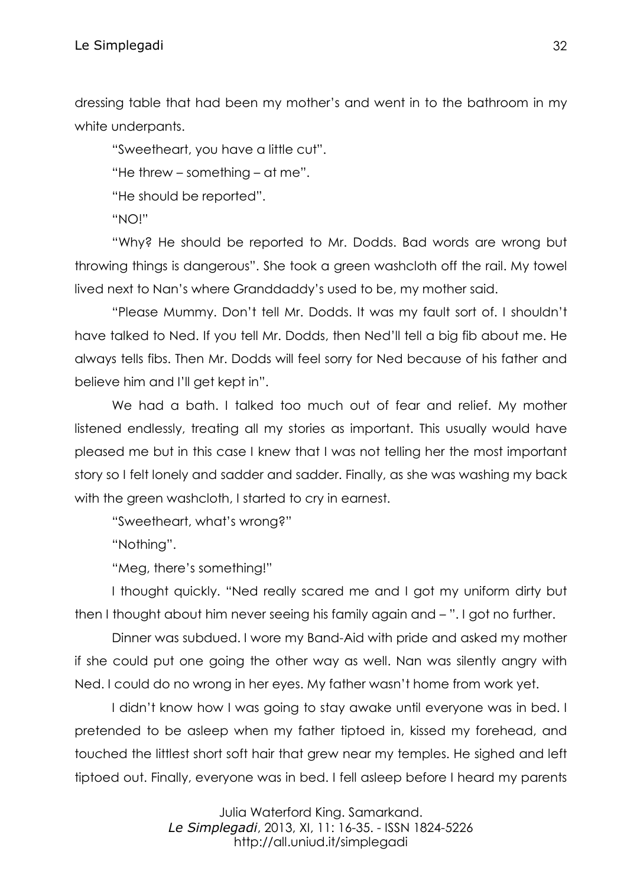dressing table that had been my mother's and went in to the bathroom in my white underpants.

"Sweetheart, you have a little cut".

"He threw – something – at me".

"He should be reported".

"NO!"

"Why? He should be reported to Mr. Dodds. Bad words are wrong but throwing things is dangerous". She took a green washcloth off the rail. My towel lived next to Nan's where Granddaddy's used to be, my mother said.

"Please Mummy. Don't tell Mr. Dodds. It was my fault sort of. I shouldn't have talked to Ned. If you tell Mr. Dodds, then Ned'll tell a big fib about me. He always tells fibs. Then Mr. Dodds will feel sorry for Ned because of his father and believe him and I'll get kept in".

We had a bath. I talked too much out of fear and relief. My mother listened endlessly, treating all my stories as important. This usually would have pleased me but in this case I knew that I was not telling her the most important story so I felt lonely and sadder and sadder. Finally, as she was washing my back with the green washcloth, I started to cry in earnest.

"Sweetheart, what's wrong?"

"Nothing".

"Meg, there's something!"

I thought quickly. "Ned really scared me and I got my uniform dirty but then I thought about him never seeing his family again and – ". I got no further.

Dinner was subdued. I wore my Band-Aid with pride and asked my mother if she could put one going the other way as well. Nan was silently angry with Ned. I could do no wrong in her eyes. My father wasn't home from work yet.

I didn't know how I was going to stay awake until everyone was in bed. I pretended to be asleep when my father tiptoed in, kissed my forehead, and touched the littlest short soft hair that grew near my temples. He sighed and left tiptoed out. Finally, everyone was in bed. I fell asleep before I heard my parents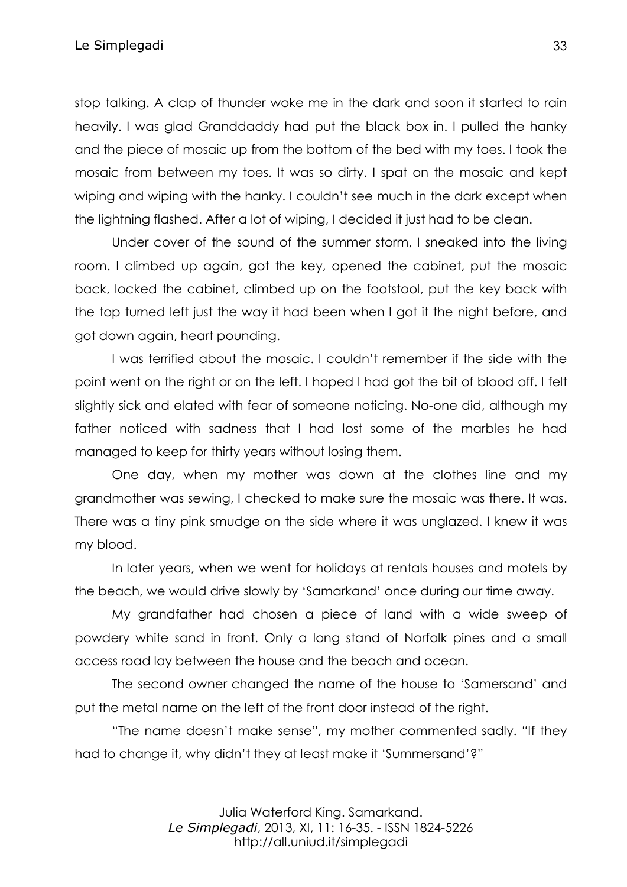stop talking. A clap of thunder woke me in the dark and soon it started to rain heavily. I was glad Granddaddy had put the black box in. I pulled the hanky and the piece of mosaic up from the bottom of the bed with my toes. I took the mosaic from between my toes. It was so dirty. I spat on the mosaic and kept wiping and wiping with the hanky. I couldn't see much in the dark except when the lightning flashed. After a lot of wiping, I decided it just had to be clean.

Under cover of the sound of the summer storm, I sneaked into the living room. I climbed up again, got the key, opened the cabinet, put the mosaic back, locked the cabinet, climbed up on the footstool, put the key back with the top turned left just the way it had been when I got it the night before, and got down again, heart pounding.

I was terrified about the mosaic. I couldn't remember if the side with the point went on the right or on the left. I hoped I had got the bit of blood off. I felt slightly sick and elated with fear of someone noticing. No-one did, although my father noticed with sadness that I had lost some of the marbles he had managed to keep for thirty years without losing them.

One day, when my mother was down at the clothes line and my grandmother was sewing, I checked to make sure the mosaic was there. It was. There was a tiny pink smudge on the side where it was unglazed. I knew it was my blood.

In later years, when we went for holidays at rentals houses and motels by the beach, we would drive slowly by 'Samarkand' once during our time away.

My grandfather had chosen a piece of land with a wide sweep of powdery white sand in front. Only a long stand of Norfolk pines and a small access road lay between the house and the beach and ocean.

The second owner changed the name of the house to 'Samersand' and put the metal name on the left of the front door instead of the right.

"The name doesn't make sense", my mother commented sadly. "If they had to change it, why didn't they at least make it 'Summersand'?"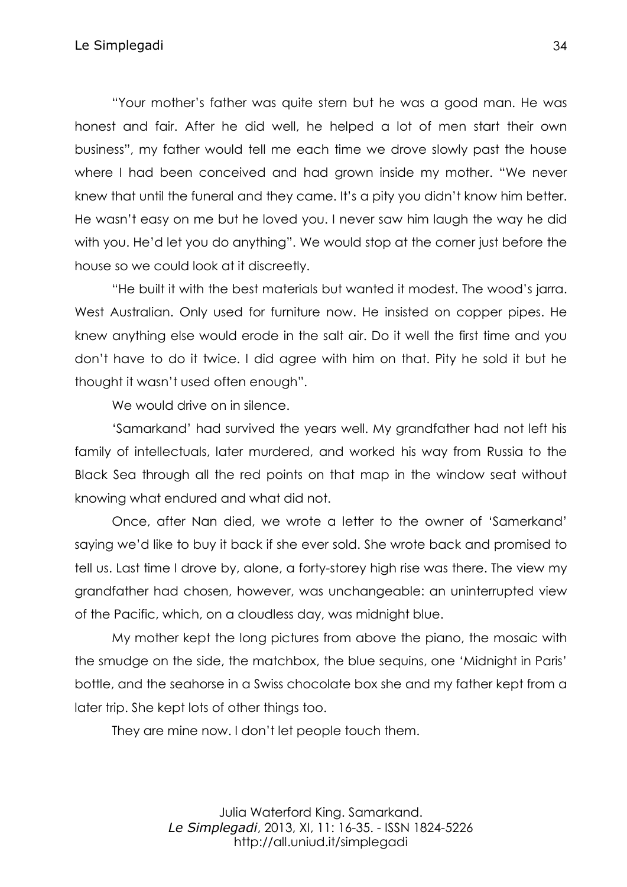"Your mother's father was quite stern but he was a good man. He was honest and fair. After he did well, he helped a lot of men start their own business", my father would tell me each time we drove slowly past the house where I had been conceived and had grown inside my mother. "We never knew that until the funeral and they came. It's a pity you didn't know him better. He wasn't easy on me but he loved you. I never saw him laugh the way he did with you. He'd let you do anything". We would stop at the corner just before the house so we could look at it discreetly.

"He built it with the best materials but wanted it modest. The wood's jarra. West Australian. Only used for furniture now. He insisted on copper pipes. He knew anything else would erode in the salt air. Do it well the first time and you don't have to do it twice. I did agree with him on that. Pity he sold it but he thought it wasn't used often enough".

We would drive on in silence.

'Samarkand' had survived the years well. My grandfather had not left his family of intellectuals, later murdered, and worked his way from Russia to the Black Sea through all the red points on that map in the window seat without knowing what endured and what did not.

Once, after Nan died, we wrote a letter to the owner of 'Samerkand' saying we'd like to buy it back if she ever sold. She wrote back and promised to tell us. Last time I drove by, alone, a forty-storey high rise was there. The view my grandfather had chosen, however, was unchangeable: an uninterrupted view of the Pacific, which, on a cloudless day, was midnight blue.

My mother kept the long pictures from above the piano, the mosaic with the smudge on the side, the matchbox, the blue sequins, one 'Midnight in Paris' bottle, and the seahorse in a Swiss chocolate box she and my father kept from a later trip. She kept lots of other things too.

They are mine now. I don't let people touch them.